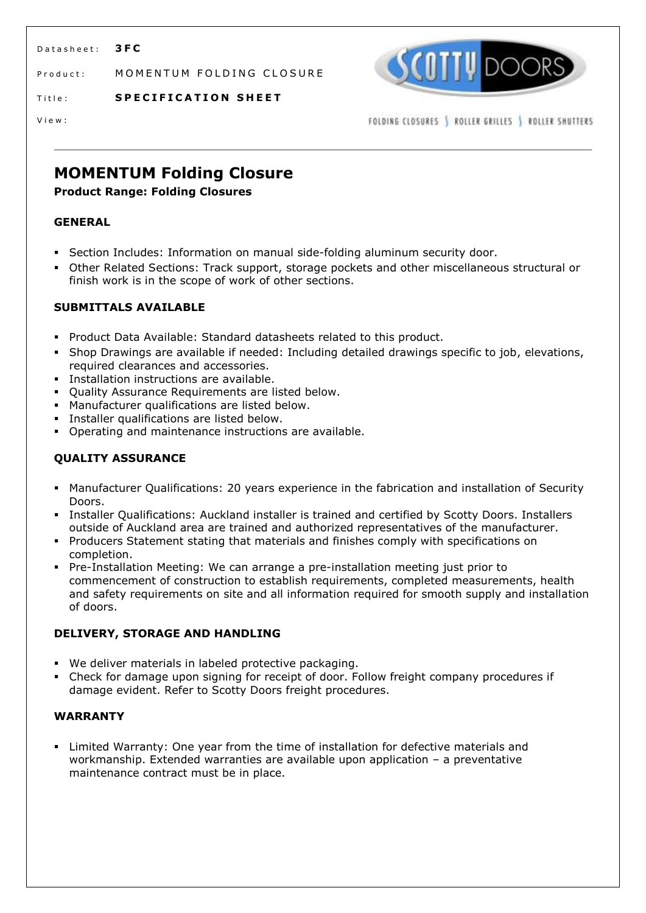D a t a sheet: **3FC** 

Product: MOMENTUM FOLDING CLOSURE



Title: **SPECIFICATION SHEET** 

V i e w :

FOLDING CLOSURES | ROLLER GRILLES | ROLLER SHUTTERS

# **MOMENTUM Folding Closure**

# **Product Range: Folding Closures**

# **GENERAL**

- **Section Includes: Information on manual side-folding aluminum security door.**
- Other Related Sections: Track support, storage pockets and other miscellaneous structural or finish work is in the scope of work of other sections.

# **SUBMITTALS AVAILABLE**

- Product Data Available: Standard datasheets related to this product.
- Shop Drawings are available if needed: Including detailed drawings specific to job, elevations, required clearances and accessories.
- **Installation instructions are available.**
- **Quality Assurance Requirements are listed below.**
- **Manufacturer qualifications are listed below.**
- Installer qualifications are listed below.
- Operating and maintenance instructions are available.

# **QUALITY ASSURANCE**

- Manufacturer Qualifications: 20 years experience in the fabrication and installation of Security Doors.
- Installer Qualifications: Auckland installer is trained and certified by Scotty Doors. Installers outside of Auckland area are trained and authorized representatives of the manufacturer.
- Producers Statement stating that materials and finishes comply with specifications on completion.
- Pre-Installation Meeting: We can arrange a pre-installation meeting just prior to commencement of construction to establish requirements, completed measurements, health and safety requirements on site and all information required for smooth supply and installation of doors.

# **DELIVERY, STORAGE AND HANDLING**

- We deliver materials in labeled protective packaging.
- Check for damage upon signing for receipt of door. Follow freight company procedures if damage evident. Refer to Scotty Doors freight procedures.

# **WARRANTY**

 Limited Warranty: One year from the time of installation for defective materials and workmanship. Extended warranties are available upon application – a preventative maintenance contract must be in place.